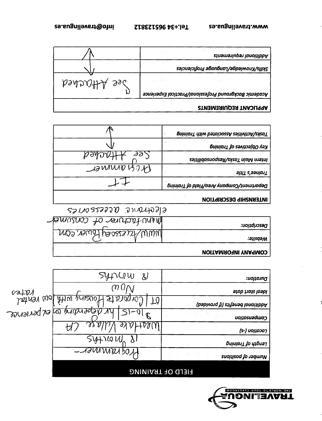

## **EIELD OF TBAINING**

| Duration:                           | SYIVIW<br>ଧ                                    |  |
|-------------------------------------|------------------------------------------------|--|
| ldeal start date                    | ო ()                                           |  |
| Additional benefits (if provided)   | betwy wol Atlau prises<br>4                    |  |
| Compensation                        | gepending by er perience<br>$\mathbf{\hat{R}}$ |  |
| (s-) וסכמנוסט                       | J ) V                                          |  |
|                                     | $5410$ $U_1$                                   |  |
| <b>Suonisod fo Jaquinn</b><br>v ist | VOGTAUNINDEL-                                  |  |
|                                     | <b>PIELD UF TRAINING</b>                       |  |

| Duration:                         | SYIVIW<br>$\&$          |
|-----------------------------------|-------------------------|
| ldeal start date                  | ტ ()                    |
| Additional benefits (if provided) | batay walifiku parece   |
| Compensation                      | gébauguné au de bariono |
| <b>ps-) טכ</b> מנוסט              | t1.                     |
| Length of Training                | SYAIGU                  |
| <b>Suoiticod fo adduny</b>        | TISMINISTIC             |

| INTERNSHIP DESCRIPTION                 |
|----------------------------------------|
| COCHOMIL QUESSON CS                    |
| MEMULACHURG Of CONSUMER<br>Descubtion: |
| MMW/Faceses Hower. COM<br>:əນຸsqəM     |
| <b>VOITAMROINI YVARMOD</b>             |

|                                        | Tasks/Activities Associated with Training |
|----------------------------------------|-------------------------------------------|
|                                        | <b>βninio1T</b> <i>co zavitosidO vsX</i>  |
| $\partial \partial y$<br>$p$ dynv $+r$ | Intern Main Tasks/Responsabilities        |
| <b>ADWIND BOTH</b>                     | <b>Trainee's Title</b>                    |
|                                        | Department/Company Area/Field of Training |
|                                        |                                           |

|              | Additional requirements                               |
|--------------|-------------------------------------------------------|
|              | Skills/Knowledge/Language Proficiencies               |
| Dee Attached | Academic Background Professional/Practical Experience |
|              | <b>APPLICANT REQUIREMENTS</b>                         |